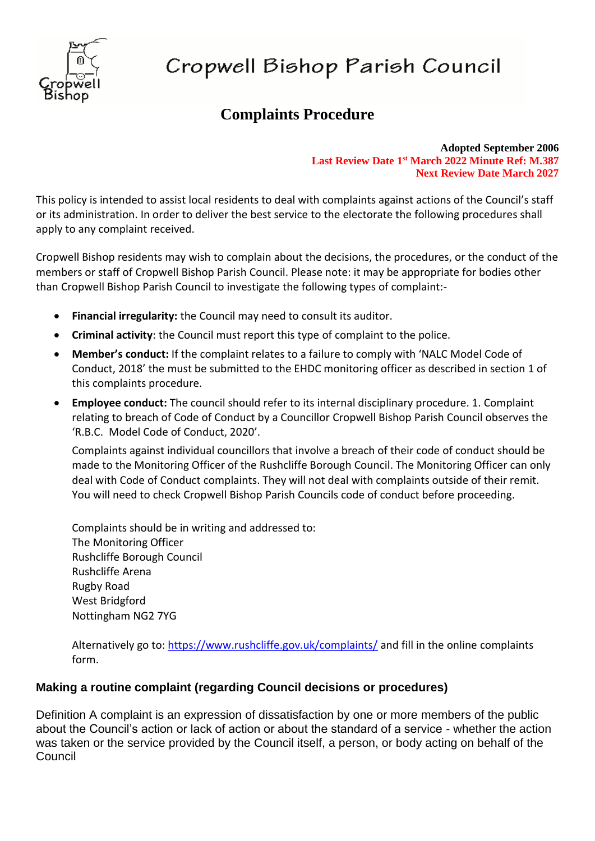

# Cropwell Bishop Parish Council

# **Complaints Procedure**

**Adopted September 2006 Last Review Date 1 st March 2022 Minute Ref: M.387 Next Review Date March 2027**

This policy is intended to assist local residents to deal with complaints against actions of the Council's staff or its administration. In order to deliver the best service to the electorate the following procedures shall apply to any complaint received.

Cropwell Bishop residents may wish to complain about the decisions, the procedures, or the conduct of the members or staff of Cropwell Bishop Parish Council. Please note: it may be appropriate for bodies other than Cropwell Bishop Parish Council to investigate the following types of complaint:-

- **Financial irregularity:** the Council may need to consult its auditor.
- **Criminal activity**: the Council must report this type of complaint to the police.
- **Member's conduct:** If the complaint relates to a failure to comply with 'NALC Model Code of Conduct, 2018' the must be submitted to the EHDC monitoring officer as described in section 1 of this complaints procedure.
- **Employee conduct:** The council should refer to its internal disciplinary procedure. 1. Complaint relating to breach of Code of Conduct by a Councillor Cropwell Bishop Parish Council observes the 'R.B.C. Model Code of Conduct, 2020'.

Complaints against individual councillors that involve a breach of their code of conduct should be made to the Monitoring Officer of the Rushcliffe Borough Council. The Monitoring Officer can only deal with Code of Conduct complaints. They will not deal with complaints outside of their remit. You will need to check Cropwell Bishop Parish Councils code of conduct before proceeding.

Complaints should be in writing and addressed to: The Monitoring Officer Rushcliffe Borough Council Rushcliffe Arena Rugby Road West Bridgford Nottingham NG2 7YG

Alternatively go to:<https://www.rushcliffe.gov.uk/complaints/> and fill in the online complaints form.

## **Making a routine complaint (regarding Council decisions or procedures)**

Definition A complaint is an expression of dissatisfaction by one or more members of the public about the Council's action or lack of action or about the standard of a service - whether the action was taken or the service provided by the Council itself, a person, or body acting on behalf of the **Council**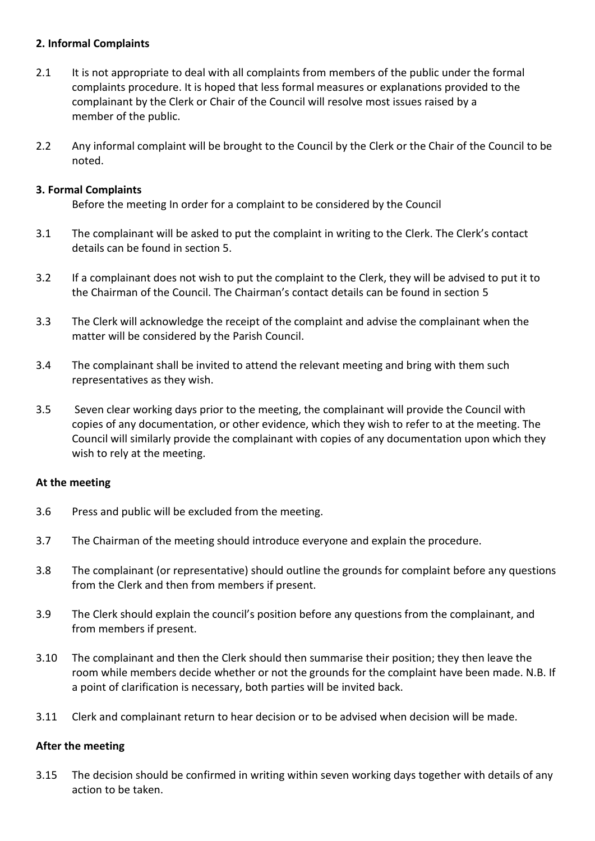### **2. Informal Complaints**

- 2.1 It is not appropriate to deal with all complaints from members of the public under the formal complaints procedure. It is hoped that less formal measures or explanations provided to the complainant by the Clerk or Chair of the Council will resolve most issues raised by a member of the public.
- 2.2 Any informal complaint will be brought to the Council by the Clerk or the Chair of the Council to be noted.

### **3. Formal Complaints**

Before the meeting In order for a complaint to be considered by the Council

- 3.1 The complainant will be asked to put the complaint in writing to the Clerk. The Clerk's contact details can be found in section 5.
- 3.2 If a complainant does not wish to put the complaint to the Clerk, they will be advised to put it to the Chairman of the Council. The Chairman's contact details can be found in section 5
- 3.3 The Clerk will acknowledge the receipt of the complaint and advise the complainant when the matter will be considered by the Parish Council.
- 3.4 The complainant shall be invited to attend the relevant meeting and bring with them such representatives as they wish.
- 3.5 Seven clear working days prior to the meeting, the complainant will provide the Council with copies of any documentation, or other evidence, which they wish to refer to at the meeting. The Council will similarly provide the complainant with copies of any documentation upon which they wish to rely at the meeting.

### **At the meeting**

- 3.6 Press and public will be excluded from the meeting.
- 3.7 The Chairman of the meeting should introduce everyone and explain the procedure.
- 3.8 The complainant (or representative) should outline the grounds for complaint before any questions from the Clerk and then from members if present.
- 3.9 The Clerk should explain the council's position before any questions from the complainant, and from members if present.
- 3.10 The complainant and then the Clerk should then summarise their position; they then leave the room while members decide whether or not the grounds for the complaint have been made. N.B. If a point of clarification is necessary, both parties will be invited back.
- 3.11 Clerk and complainant return to hear decision or to be advised when decision will be made.

### **After the meeting**

3.15 The decision should be confirmed in writing within seven working days together with details of any action to be taken.